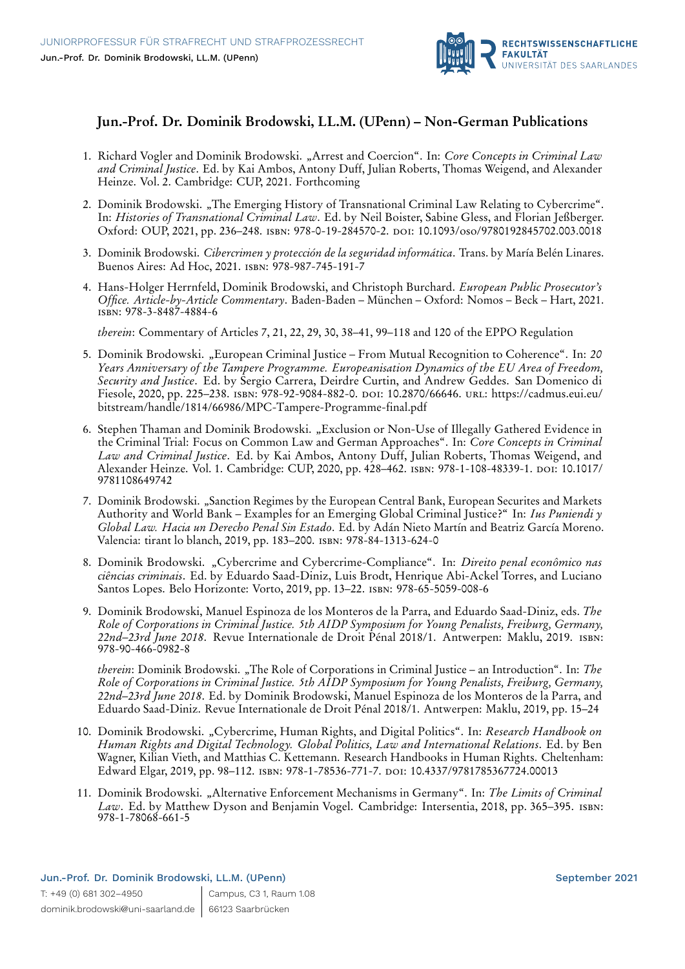

## **Jun.-Prof. Dr. Dominik Brodowski, LL.M. (UPenn) – Non-German Publications**

- 1. Richard Vogler and Dominik Brodowski. "Arrest and Coercion". In: *Core Concepts in Criminal Law and Criminal Justice*. Ed. by Kai Ambos, Antony Duff, Julian Roberts, Thomas Weigend, and Alexander Heinze. Vol. 2. Cambridge: CUP, 2021. Forthcoming
- 2. Dominik Brodowski. "The Emerging History of Transnational Criminal Law Relating to Cybercrime". In: *Histories of Transnational Criminal Law*. Ed. by Neil Boister, Sabine Gless, and Florian Jeßberger. Oxford: OUP, 2021, pp. 236–248. isbn: 978-0-19-284570-2. doi: [10.1093/oso/9780192845702.003.0018](https://doi.org/10.1093/oso/9780192845702.003.0018)
- 3. Dominik Brodowski. *Cibercrimen y protección de la seguridad informática*. Trans. by María Belén Linares. Buenos Aires: Ad Hoc, 2021. isbn: 978-987-745-191-7
- 4. Hans-Holger Herrnfeld, Dominik Brodowski, and Christoph Burchard. *European Public Prosecutor's Office. Article-by-Article Commentary*. Baden-Baden – München – Oxford: Nomos – Beck – Hart, 2021. isbn: 978-3-8487-4884-6

*therein*: Commentary of Articles 7, 21, 22, 29, 30, 38–41, 99–118 and 120 of the EPPO Regulation

- 5. Dominik Brodowski. "European Criminal Justice From Mutual Recognition to Coherence". In: *20 Years Anniversary of the Tampere Programme. Europeanisation Dynamics of the EU Area of Freedom, Security and Justice*. Ed. by Sergio Carrera, Deirdre Curtin, and Andrew Geddes. San Domenico di Fiesole, 2020, pp. 225–238. isbn: 978-92-9084-882-0. doi: [10.2870/66646.](https://doi.org/10.2870/66646) url: [https://cadmus.eui.eu/](https://cadmus.eui.eu/bitstream/handle/1814/66986/MPC-Tampere-Programme-final.pdf) [bitstream/handle/1814/66986/MPC-Tampere-Programme-final.pdf](https://cadmus.eui.eu/bitstream/handle/1814/66986/MPC-Tampere-Programme-final.pdf)
- 6. Stephen Thaman and Dominik Brodowski. "Exclusion or Non-Use of Illegally Gathered Evidence in the Criminal Trial: Focus on Common Law and German Approaches". In: *Core Concepts in Criminal Law and Criminal Justice*. Ed. by Kai Ambos, Antony Duff, Julian Roberts, Thomas Weigend, and Alexander Heinze. Vol. 1. Cambridge: CUP, 2020, pp. 428-462. ISBN: 978-1-108-48339-1. DOI: [10.1017/](https://doi.org/10.1017/9781108649742) [9781108649742](https://doi.org/10.1017/9781108649742)
- 7. Dominik Brodowski. "Sanction Regimes by the European Central Bank, European Securites and Markets Authority and World Bank – Examples for an Emerging Global Criminal Justice?" In: *Ius Puniendi y Global Law. Hacia un Derecho Penal Sin Estado*. Ed. by Adán Nieto Martín and Beatriz García Moreno. Valencia: tirant lo blanch, 2019, pp. 183–200. isbn: 978-84-1313-624-0
- 8. Dominik Brodowski. "Cybercrime and Cybercrime-Compliance". In: *Direito penal econômico nas ciências criminais*. Ed. by Eduardo Saad-Diniz, Luis Brodt, Henrique Abi-Ackel Torres, and Luciano Santos Lopes. Belo Horizonte: Vorto, 2019, pp. 13–22. isbn: 978-65-5059-008-6
- 9. Dominik Brodowski, Manuel Espinoza de los Monteros de la Parra, and Eduardo Saad-Diniz, eds. *The Role of Corporations in Criminal Justice. 5th AIDP Symposium for Young Penalists, Freiburg, Germany, 22nd–23rd June 2018*. Revue Internationale de Droit Pénal 2018/1. Antwerpen: Maklu, 2019. isbn: 978-90-466-0982-8

*therein*: Dominik Brodowski. "The Role of Corporations in Criminal Justice – an Introduction". In: *The Role of Corporations in Criminal Justice. 5th AIDP Symposium for Young Penalists, Freiburg, Germany, 22nd–23rd June 2018*. Ed. by Dominik Brodowski, Manuel Espinoza de los Monteros de la Parra, and Eduardo Saad-Diniz. Revue Internationale de Droit Pénal 2018/1. Antwerpen: Maklu, 2019, pp. 15–24

- 10. Dominik Brodowski. "Cybercrime, Human Rights, and Digital Politics". In: *Research Handbook on Human Rights and Digital Technology. Global Politics, Law and International Relations*. Ed. by Ben Wagner, Kilian Vieth, and Matthias C. Kettemann. Research Handbooks in Human Rights. Cheltenham: Edward Elgar, 2019, pp. 98–112. isbn: 978-1-78536-771-7. doi: [10.4337/9781785367724.00013](https://doi.org/10.4337/9781785367724.00013)
- 11. Dominik Brodowski. "Alternative Enforcement Mechanisms in Germany". In: *The Limits of Criminal Law*. Ed. by Matthew Dyson and Benjamin Vogel. Cambridge: Intersentia, 2018, pp. 365–395. isbn: 978-1-78068-661-5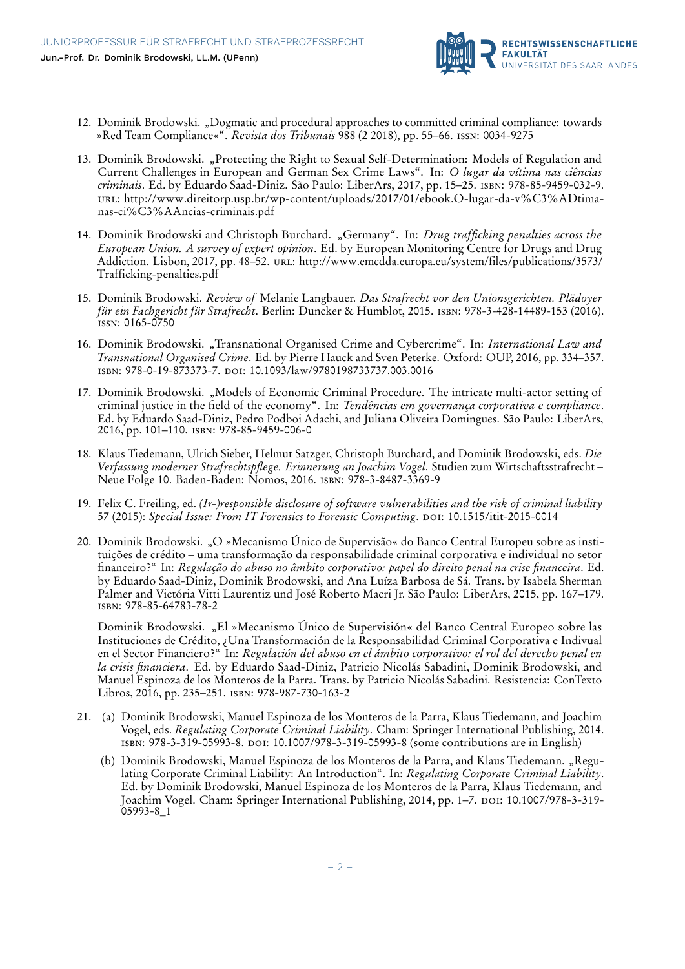

- 12. Dominik Brodowski. "Dogmatic and procedural approaches to committed criminal compliance: towards »Red Team Compliance«". *Revista dos Tribunais* 988 (2 2018), pp. 55–66. issn: 0034-9275
- 13. Dominik Brodowski. "Protecting the Right to Sexual Self-Determination: Models of Regulation and Current Challenges in European and German Sex Crime Laws". In: *O lugar da vítima nas ciências criminais*. Ed. by Eduardo Saad-Diniz. São Paulo: LiberArs, 2017, pp. 15–25. isbn: 978-85-9459-032-9. url: [http://www.direitorp.usp.br/wp-content/uploads/2017/01/ebook.O-lugar-da-v%C3%ADtima](http://www.direitorp.usp.br/wp-content/uploads/2017/01/ebook.O-lugar-da-v%C3%ADtima-nas-ci%C3%AAncias-criminais.pdf)[nas-ci%C3%AAncias-criminais.pdf](http://www.direitorp.usp.br/wp-content/uploads/2017/01/ebook.O-lugar-da-v%C3%ADtima-nas-ci%C3%AAncias-criminais.pdf)
- 14. Dominik Brodowski and Christoph Burchard. "Germany". In: *Drug trafficking penalties across the European Union. A survey of expert opinion*. Ed. by European Monitoring Centre for Drugs and Drug Addiction. Lisbon, 2017, pp. 48–52. url: [http://www.emcdda.europa.eu/system/files/publications/3573/](http://www.emcdda.europa.eu/system/files/publications/3573/Trafficking-penalties.pdf) [Trafficking-penalties.pdf](http://www.emcdda.europa.eu/system/files/publications/3573/Trafficking-penalties.pdf)
- 15. Dominik Brodowski. *Review of* Melanie Langbauer. *Das Strafrecht vor den Unionsgerichten. Plädoyer für ein Fachgericht für Strafrecht*. Berlin: Duncker & Humblot, 2015. isbn: 978-3-428-14489-153 (2016). issn: 0165-0750
- 16. Dominik Brodowski. "Transnational Organised Crime and Cybercrime". In: *International Law and Transnational Organised Crime*. Ed. by Pierre Hauck and Sven Peterke. Oxford: OUP, 2016, pp. 334–357. isbn: 978-0-19-873373-7. doi: [10.1093/law/9780198733737.003.0016](https://doi.org/10.1093/law/9780198733737.003.0016)
- 17. Dominik Brodowski. "Models of Economic Criminal Procedure. The intricate multi-actor setting of criminal justice in the field of the economy". In: *Tendências em governança corporativa e compliance*. Ed. by Eduardo Saad-Diniz, Pedro Podboi Adachi, and Juliana Oliveira Domingues. São Paulo: LiberArs, 2016, pp. 101–110. isbn: 978-85-9459-006-0
- 18. Klaus Tiedemann, Ulrich Sieber, Helmut Satzger, Christoph Burchard, and Dominik Brodowski, eds. *Die Verfassung moderner Strafrechtspflege. Erinnerung an Joachim Vogel*. Studien zum Wirtschaftsstrafrecht – Neue Folge 10. Baden-Baden: Nomos, 2016. isbn: 978-3-8487-3369-9
- 19. Felix C. Freiling, ed. *(Ir-)responsible disclosure of software vulnerabilities and the risk of criminal liability* 57 (2015): *Special Issue: From IT Forensics to Forensic Computing*. doi: [10.1515/itit-2015-0014](https://doi.org/10.1515/itit-2015-0014)
- 20. Dominik Brodowski. "O »Mecanismo Único de Supervisão« do Banco Central Europeu sobre as instituições de crédito – uma transformação da responsabilidade criminal corporativa e individual no setor financeiro?" In: *Regulação do abuso no âmbito corporativo: papel do direito penal na crise financeira*. Ed. by Eduardo Saad-Diniz, Dominik Brodowski, and Ana Luíza Barbosa de Sá. Trans. by Isabela Sherman Palmer and Victória Vitti Laurentiz und José Roberto Macri Jr. São Paulo: LiberArs, 2015, pp. 167–179. isbn: 978-85-64783-78-2

Dominik Brodowski. "El »Mecanismo Único de Supervisión« del Banco Central Europeo sobre las Instituciones de Crédito, ¿Una Transformación de la Responsabilidad Criminal Corporativa e Indivual en el Sector Financiero?" In: *Regulación del abuso en el ámbito corporativo: el rol del derecho penal en la crisis financiera*. Ed. by Eduardo Saad-Diniz, Patricio Nicolás Sabadini, Dominik Brodowski, and Manuel Espinoza de los Monteros de la Parra. Trans. by Patricio Nicolás Sabadini. Resistencia: ConTexto Libros, 2016, pp. 235–251. isbn: 978-987-730-163-2

- 21. (a) Dominik Brodowski, Manuel Espinoza de los Monteros de la Parra, Klaus Tiedemann, and Joachim Vogel, eds. *Regulating Corporate Criminal Liability*. Cham: Springer International Publishing, 2014. isbn: 978-3-319-05993-8. doi: [10.1007/978-3-319-05993-8](https://doi.org/10.1007/978-3-319-05993-8) (some contributions are in English)
	- (b) Dominik Brodowski, Manuel Espinoza de los Monteros de la Parra, and Klaus Tiedemann. "Regulating Corporate Criminal Liability: An Introduction". In: *Regulating Corporate Criminal Liability*. Ed. by Dominik Brodowski, Manuel Espinoza de los Monteros de la Parra, Klaus Tiedemann, and Joachim Vogel. Cham: Springer International Publishing, 2014, pp. 1–7. poi: [10.1007/978-3-319-](https://doi.org/10.1007/978-3-319-05993-8_1)  $05993 - 8$ <sup>1</sup>